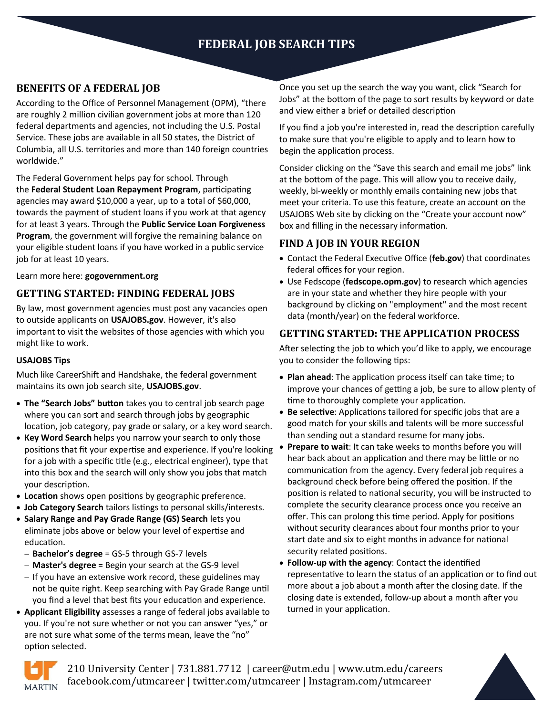# **FEDERAL JOB SEARCH TIPS**

## **BENEFITS OF A FEDERAL JOB**

According to the Office of Personnel Management (OPM), "there are roughly 2 million civilian government jobs at more than 120 federal departments and agencies, not including the U.S. Postal Service. These jobs are available in all 50 states, the District of Columbia, all U.S. territories and more than 140 foreign countries worldwide."

The Federal Government helps pay for school. Through the **[Federal Student Loan Repayment Program](https://www.opm.gov/policy-data-oversight/pay-leave/student-loan-repayment/)**, participating agencies may award \$10,000 a year, up to a total of \$60,000, towards the payment of student loans if you work at that agency for at least 3 years. Through the **[Public Service Loan Forgiveness](https://www.studentaid.ed.gov/repay-loans/forgiveness-cancellation/charts/public-service)  [Program](https://www.studentaid.ed.gov/repay-loans/forgiveness-cancellation/charts/public-service)**, the government will forgive the remaining balance on your eligible student loans if you have worked in a public service job for at least 10 years.

Learn more here: **gogovernment.org**

## **GETTING STARTED: FINDING FEDERAL JOBS**

By law, most government agencies must post any vacancies open to outside applicants on **USAJOBS.gov**. However, it's also important to visit the websites of those agencies with which you might like to work.

## **USAJOBS Tips**

Much like CareerShift and Handshake, the federal government maintains its own job search site, **USAJOBS.gov**.

- **The "Search Jobs" button** takes you to central job search page where you can sort and search through jobs by geographic location, job category, pay grade or salary, or a key word search.
- **Key Word Search** helps you narrow your search to only those positions that fit your expertise and experience. If you're looking for a job with a specific title (e.g., electrical engineer), type that into this box and the search will only show you jobs that match your description.
- **Location** shows open positions by geographic preference.
- **Job Category Search** tailors listings to personal skills/interests.
- **Salary Range and Pay Grade Range (GS) Search** lets you eliminate jobs above or below your level of expertise and education.
	- − **Bachelor's degree** = GS-5 through GS-7 levels
	- − **Master's degree** = Begin your search at the GS-9 level
	- − If you have an extensive work record, these guidelines may not be quite right. Keep searching with Pay Grade Range until you find a level that best fits your education and experience.
- **Applicant Eligibility** assesses a range of federal jobs available to you. If you're not sure whether or not you can answer "yes," or are not sure what some of the terms mean, leave the "no" option selected.

Once you set up the search the way you want, click "Search for Jobs" at the bottom of the page to sort results by keyword or date and view either a brief or detailed description

If you find a job you're interested in, read the description carefully to make sure that you're eligible to apply and to learn how to begin the application process.

Consider clicking on the "Save this search and email me jobs" link at the bottom of the page. This will allow you to receive daily, weekly, bi-weekly or monthly emails containing new jobs that meet your criteria. To use this feature, create an account on the USAJOBS Web site by clicking on the "Create your account now" box and filling in the necessary information.

## **FIND A JOB IN YOUR REGION**

- Contact the Federal Executive Office (**feb.gov**) that coordinates federal offices for your region.
- Use Fedscope (**fedscope.opm.gov**) to research which agencies are in your state and whether they hire people with your background by clicking on "employment" and the most recent data (month/year) on the federal workforce.

## **GETTING STARTED: THE APPLICATION PROCESS**

After selecting the job to which you'd like to apply, we encourage you to consider the following tips:

- **Plan ahead**: The application process itself can take time; to improve your chances of getting a job, be sure to allow plenty of time to thoroughly complete your application.
- **Be selective**: Applications tailored for specific jobs that are a good match for your skills and talents will be more successful than sending out a standard resume for many jobs.
- **Prepare to wait**: It can take weeks to months before you will hear back about an application and there may be little or no communication from the agency. Every federal job requires a background check before being offered the position. If the position is related to national security, you will be instructed to complete the security clearance process once you receive an offer. This can prolong this time period. Apply for positions without security clearances about four months prior to your start date and six to eight months in advance for national security related positions.
- **Follow-up with the agency**: Contact the identified representative to learn the status of an application or to find out more about a job about a month after the closing date. If the closing date is extended, follow-up about a month after you turned in your application.



210 University Center | 731.881.7712 | career@utm.edu | www.utm.edu/careers facebook.com/utmcareer | twitter.com/utmcareer | Instagram.com/utmcareer

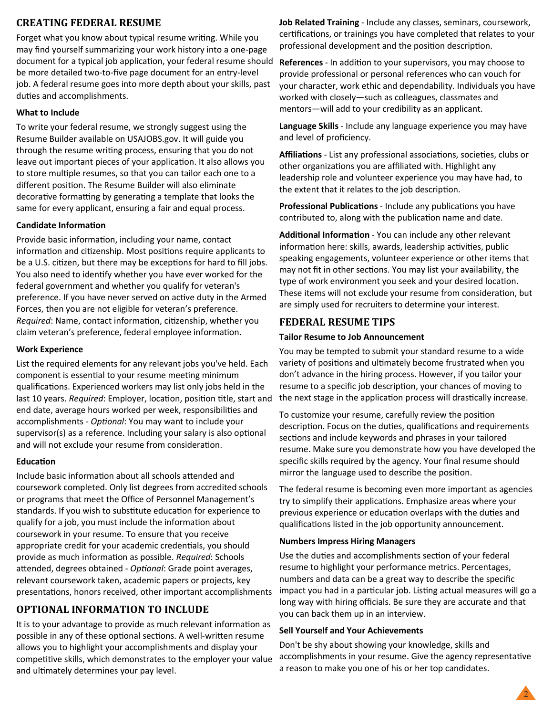## **CREATING FEDERAL RESUME**

Forget what you know about typical resume writing. While you may find yourself summarizing your work history into a one-page document for a typical job application, your federal resume should be more detailed two-to-five page document for an entry-level job. A federal resume goes into more depth about your skills, past duties and accomplishments.

#### **What to Include**

To write your federal resume, we strongly suggest using the Resume Builder available on USAJOBS.gov. It will guide you through the resume writing process, ensuring that you do not leave out important pieces of your application. It also allows you to store multiple resumes, so that you can tailor each one to a different position. The Resume Builder will also eliminate decorative formatting by generating a template that looks the same for every applicant, ensuring a fair and equal process.

## **Candidate Information**

Provide basic information, including your name, contact information and citizenship. Most positions require applicants to be a U.S. citizen, but there may be exceptions for hard to fill jobs. You also need to identify whether you have ever worked for the federal government and whether you qualify for veteran's preference. If you have never served on active duty in the Armed Forces, then you are not eligible for veteran's preference. *Required*: Name, contact information, citizenship, whether you claim veteran's preference, federal employee information.

#### **Work Experience**

List the required elements for any relevant jobs you've held. Each component is essential to your resume meeting minimum qualifications. Experienced workers may list only jobs held in the last 10 years. *Required*: Employer, location, position title, start and end date, average hours worked per week, responsibilities and accomplishments - *Optional*: You may want to include your supervisor(s) as a reference. Including your salary is also optional and will not exclude your resume from consideration.

#### **Education**

Include basic information about all schools attended and coursework completed. Only list degrees from accredited schools or programs that meet the Office of Personnel Management's standards. If you wish to substitute education for experience to qualify for a job, you must include the information about coursework in your resume. To ensure that you receive appropriate credit for your academic credentials, you should provide as much information as possible. *Required*: Schools attended, degrees obtained - *Optional*: Grade point averages, relevant coursework taken, academic papers or projects, key presentations, honors received, other important accomplishments

## **OPTIONAL INFORMATION TO INCLUDE**

It is to your advantage to provide as much relevant information as possible in any of these optional sections. A well-written resume allows you to highlight your accomplishments and display your competitive skills, which demonstrates to the employer your value and ultimately determines your pay level.

**Job Related Training** - Include any classes, seminars, coursework, certifications, or trainings you have completed that relates to your professional development and the position description.

**References** - In addition to your supervisors, you may choose to provide professional or personal references who can vouch for your character, work ethic and dependability. Individuals you have worked with closely—such as colleagues, classmates and mentors—will add to your credibility as an applicant.

**Language Skills** - Include any language experience you may have and level of proficiency.

**Affiliations** - List any professional associations, societies, clubs or other organizations you are affiliated with. Highlight any leadership role and volunteer experience you may have had, to the extent that it relates to the job description.

**Professional Publications** - Include any publications you have contributed to, along with the publication name and date.

**Additional Information** - You can include any other relevant information here: skills, awards, leadership activities, public speaking engagements, volunteer experience or other items that may not fit in other sections. You may list your availability, the type of work environment you seek and your desired location. These items will not exclude your resume from consideration, but are simply used for recruiters to determine your interest.

## **FEDERAL RESUME TIPS**

#### **Tailor Resume to Job Announcement**

You may be tempted to submit your standard resume to a wide variety of positions and ultimately become frustrated when you don't advance in the hiring process. However, if you tailor your resume to a specific job description, your chances of moving to the next stage in the application process will drastically increase.

To customize your resume, carefully review the position description. Focus on the duties, qualifications and requirements sections and include keywords and phrases in your tailored resume. Make sure you demonstrate how you have developed the specific skills required by the agency. Your final resume should mirror the language used to describe the position.

The federal resume is becoming even more important as agencies try to simplify their applications. Emphasize areas where your previous experience or education overlaps with the duties and qualifications listed in the job opportunity announcement.

#### **Numbers Impress Hiring Managers**

Use the duties and accomplishments section of your federal resume to highlight your performance metrics. Percentages, numbers and data can be a great way to describe the specific impact you had in a particular job. Listing actual measures will go a long way with hiring officials. Be sure they are accurate and that you can back them up in an interview.

#### **Sell Yourself and Your Achievements**

Don't be shy about showing your knowledge, skills and accomplishments in your resume. Give the agency representative a reason to make you one of his or her top candidates.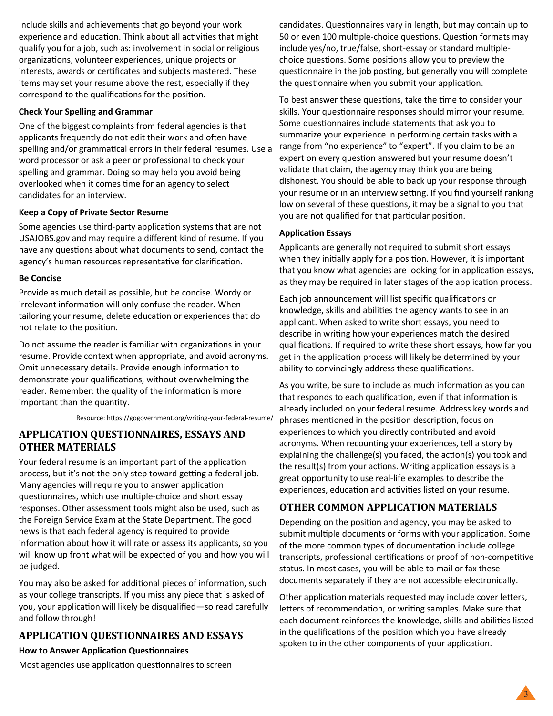Include skills and achievements that go beyond your work experience and education. Think about all activities that might qualify you for a job, such as: involvement in social or religious organizations, volunteer experiences, unique projects or interests, awards or certificates and subjects mastered. These items may set your resume above the rest, especially if they correspond to the qualifications for the position.

#### **Check Your Spelling and Grammar**

One of the biggest complaints from federal agencies is that applicants frequently do not edit their work and often have spelling and/or grammatical errors in their federal resumes. Use a word processor or ask a peer or professional to check your spelling and grammar. Doing so may help you avoid being overlooked when it comes time for an agency to select candidates for an interview.

#### **Keep a Copy of Private Sector Resume**

Some agencies use third-party application systems that are not USAJOBS.gov and may require a different kind of resume. If you have any questions about what documents to send, contact the agency's human resources representative for clarification.

#### **Be Concise**

Provide as much detail as possible, but be concise. Wordy or irrelevant information will only confuse the reader. When tailoring your resume, delete education or experiences that do not relate to the position.

Do not assume the reader is familiar with organizations in your resume. Provide context when appropriate, and avoid acronyms. Omit unnecessary details. Provide enough information to demonstrate your qualifications, without overwhelming the reader. Remember: the quality of the information is more important than the quantity.

Resource: https://gogovernment.org/writing-your-federal-resume/

## **APPLICATION QUESTIONNAIRES, ESSAYS AND OTHER MATERIALS**

Your federal resume is an important part of the application process, but it's not the only step toward getting a federal job. Many agencies will require you to answer application questionnaires, which use multiple-choice and short essay responses. Other assessment tools might also be used, such as the Foreign Service Exam at the State Department. The good news is that each federal agency is required to provide information about how it will rate or assess its applicants, so you will know up front what will be expected of you and how you will be judged.

You may also be asked for additional pieces of information, such as your college transcripts. If you miss any piece that is asked of you, your application will likely be disqualified—so read carefully and follow through!

## **APPLICATION QUESTIONNAIRES AND ESSAYS**

#### **How to Answer Application Questionnaires**

Most agencies use application questionnaires to screen

candidates. Questionnaires vary in length, but may contain up to 50 or even 100 multiple-choice questions. Question formats may include yes/no, true/false, short-essay or standard multiplechoice questions. Some positions allow you to preview the questionnaire in the job posting, but generally you will complete the questionnaire when you submit your application.

To best answer these questions, take the time to consider your skills. Your questionnaire responses should mirror your resume. Some questionnaires include statements that ask you to summarize your experience in performing certain tasks with a range from "no experience" to "expert". If you claim to be an expert on every question answered but your resume doesn't validate that claim, the agency may think you are being dishonest. You should be able to back up your response through your resume or in an interview setting. If you find yourself ranking low on several of these questions, it may be a signal to you that you are not qualified for that particular position.

#### **Application Essays**

Applicants are generally not required to submit short essays when they initially apply for a position. However, it is important that you know what agencies are looking for in application essays, as they may be required in later stages of the application process.

Each job announcement will list specific qualifications or knowledge, skills and abilities the agency wants to see in an applicant. When asked to write short essays, you need to describe in writing how your experiences match the desired qualifications. If required to write these short essays, how far you get in the application process will likely be determined by your ability to convincingly address these qualifications.

As you write, be sure to include as much information as you can that responds to each qualification, even if that information is already included on your federal resume. Address key words and phrases mentioned in the position description, focus on experiences to which you directly contributed and avoid acronyms. When recounting your experiences, tell a story by explaining the challenge(s) you faced, the action(s) you took and the result(s) from your actions. Writing application essays is a great opportunity to use real-life examples to describe the experiences, education and activities listed on your resume.

## **OTHER COMMON APPLICATION MATERIALS**

Depending on the position and agency, you may be asked to submit multiple documents or forms with your application. Some of the more common types of documentation include college transcripts, professional certifications or proof of non-competitive status. In most cases, you will be able to mail or fax these documents separately if they are not accessible electronically.

Other application materials requested may include cover letters, letters of recommendation, or writing samples. Make sure that each document reinforces the knowledge, skills and abilities listed in the qualifications of the position which you have already spoken to in the other components of your application.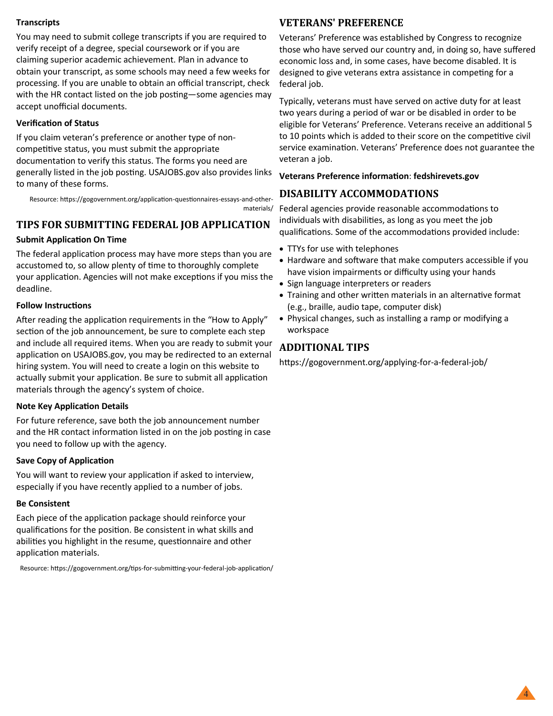## **Transcripts**

You may need to submit college transcripts if you are required to verify receipt of a degree, special coursework or if you are claiming superior academic achievement. Plan in advance to obtain your transcript, as some schools may need a few weeks for processing. If you are unable to obtain an official transcript, check with the HR contact listed on the job posting—some agencies may accept unofficial documents.

## **Verification of Status**

If you claim veteran's preference or another type of noncompetitive status, you must submit the appropriate documentation to verify this status. The forms you need are generally listed in the job posting. USAJOBS.gov also provides links to many of these forms.

Resource: https://gogovernment.org/application-questionnaires-essays-and-othermaterials/

## **TIPS FOR SUBMITTING FEDERAL JOB APPLICATION**

## **Submit Application On Time**

The federal application process may have more steps than you are accustomed to, so allow plenty of time to thoroughly complete your application. Agencies will not make exceptions if you miss the deadline.

## **Follow Instructions**

After reading the application requirements in the "How to Apply" section of the job announcement, be sure to complete each step and include all required items. When you are ready to submit your application on USAJOBS.gov, you may be redirected to an external hiring system. You will need to create a login on this website to actually submit your application. Be sure to submit all application materials through the agency's system of choice.

## **Note Key Application Details**

For future reference, save both the job announcement number and the HR contact information listed in on the job posting in case you need to follow up with the agency.

## **Save Copy of Application**

You will want to review your application if asked to interview, especially if you have recently applied to a number of jobs.

## **Be Consistent**

Each piece of the application package should reinforce your qualifications for the position. Be consistent in what skills and abilities you highlight in the resume, questionnaire and other application materials.

Resource: https://gogovernment.org/tips-for-submitting-your-federal-job-application/

## **VETERANS' PREFERENCE**

Veterans' Preference was established by Congress to recognize those who have served our country and, in doing so, have suffered economic loss and, in some cases, have become disabled. It is designed to give veterans extra assistance in competing for a federal job.

Typically, veterans must have served on active duty for at least two years during a period of war or be disabled in order to be eligible for Veterans' Preference. Veterans receive an additional 5 to 10 points which is added to their score on the competitive civil service examination. Veterans' Preference does not guarantee the veteran a job.

## **Veterans Preference information**: **fedshirevets.gov**

## **DISABILITY ACCOMMODATIONS**

Federal agencies provide reasonable accommodations to individuals with disabilities, as long as you meet the job qualifications. Some of the accommodations provided include:

- TTYs for use with telephones
- Hardware and software that make computers accessible if you have vision impairments or difficulty using your hands
- Sign language interpreters or readers
- Training and other written materials in an alternative format (e.g., braille, audio tape, computer disk)
- Physical changes, such as installing a ramp or modifying a workspace

## **ADDITIONAL TIPS**

https://gogovernment.org/applying-for-a-federal-job/

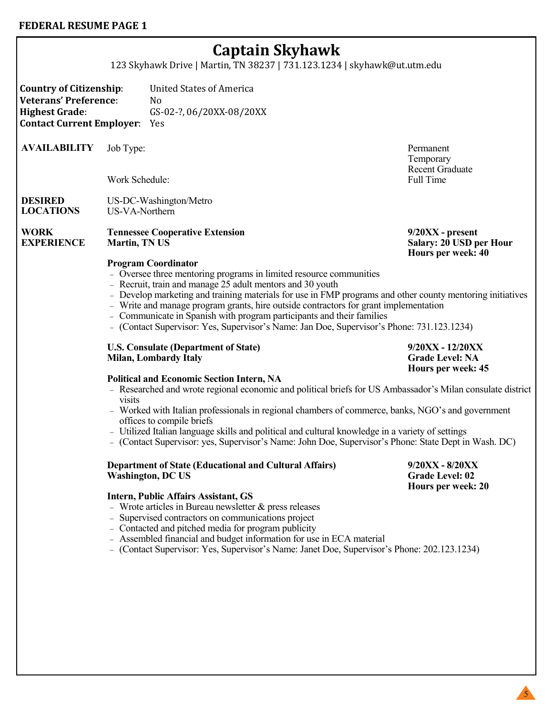# **Captain Skyhawk**

123 Skyhawk Drive | Martin, TN 38237 | 731.123.1234 | skyhawk@ut.utm.edu

**Country of Citizenship**: United States of America **Veterans' Preference**: No **Highest Grade**: GS-02-?, 06/20XX-08/20XX **Contact Current Employer**: Yes

**AVAILABILITY** Job Type: Permanent

Work Schedule: Full Time

#### **DESIRED LOCATIONS** US-DC-Washington/Metro US-VA-Northern

**WORK EXPERIENCE Tennessee Cooperative Extension Martin, TN US**

Temporary Recent Graduate

**9/20XX - present Salary: 20 USD per Hour Hours per week: 40**

#### **Program Coordinator**

- − Oversee three mentoring programs in limited resource communities
- − Recruit, train and manage 25 adult mentors and 30 youth
- − Develop marketing and training materials for use in FMP programs and other county mentoring initiatives
- − Write and manage program grants, hire outside contractors for grant implementation
- − Communicate in Spanish with program participants and their families
- − (Contact Supervisor: Yes, Supervisor's Name: Jan Doe, Supervisor's Phone: 731.123.1234)

#### **U.S. Consulate (Department of State) Milan, Lombardy Italy**

## **Political and Economic Section Intern, NA**

- − Researched and wrote regional economic and political briefs for US Ambassador's Milan consulate district visits
- − Worked with Italian professionals in regional chambers of commerce, banks, NGO's and government offices to compile briefs
- − Utilized Italian language skills and political and cultural knowledge in a variety of settings
- − (Contact Supervisor: yes, Supervisor's Name: John Doe, Supervisor's Phone: State Dept in Wash. DC)

**Department of State (Educational and Cultural Affairs) Washington, DC US**

**9/20XX - 8/20XX Grade Level: 02 Hours per week: 20**

**9/20XX - 12/20XX Grade Level: NA Hours per week: 45**

#### **Intern, Public Affairs Assistant, GS**

- − Wrote articles in Bureau newsletter & press releases
- − Supervised contractors on communications project
- − Contacted and pitched media for program publicity
- − Assembled financial and budget information for use in ECA material
- − (Contact Supervisor: Yes, Supervisor's Name: Janet Doe, Supervisor's Phone: 202.123.1234)